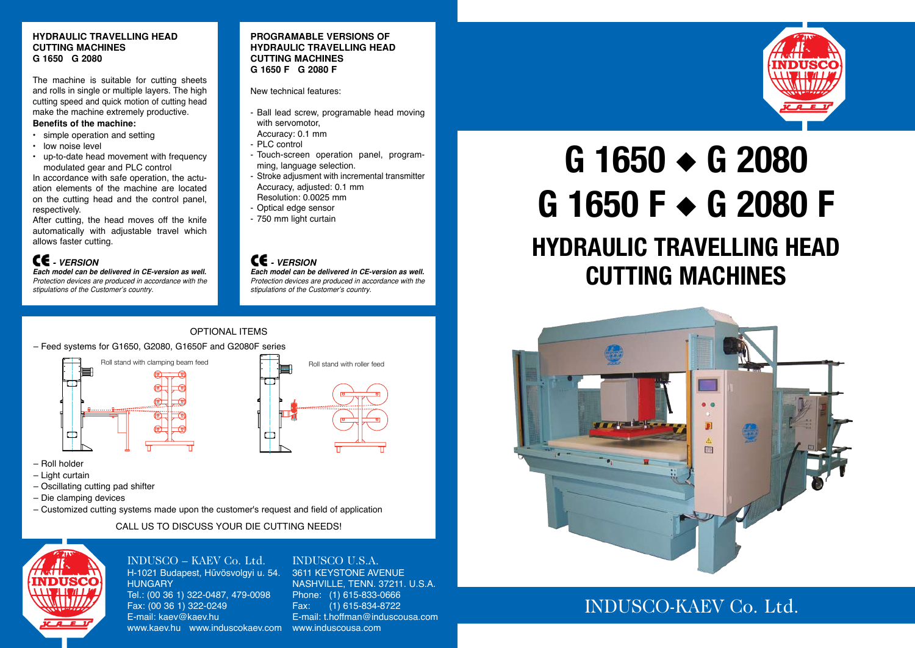## **g 1650** ◆ **g 2080 g 1650 F** ◆ **g 2080 F hydraulic travelling head cutting machines**







optional items

– Feed systems for G1650, G2080, G1650F and G2080F series



# Roll stand with clamping beam feed  $R = \frac{R}{R}$  Roll stand with roller feed  $\Box$

### Indusco – KAEV Co. Ltd. H-1021 Budapest, Hűvösvolgyi u. 54. **HUNGARY**

- Roll holder
- Light curtain
- Oscillating cutting pad shifter
- Die clamping devices
- Customized cutting systems made upon the customer's request and field of application

Call us to discuss your die cutting needs!



### INDUSCO U.S.A.

Tel.: (00 36 1) 322-0487, 479-0098 Fax: (00 36 1) 322-0249 E-mail: kaev@kaev.hu www.kaev.hu www.induscokaev.com www.induscousa.com

3611 KEYSTONE AVENUE NASHVILLE, TENN. 37211. U.S.A. Phone: (1) 615-833-0666 Fax: (1) 615-834-8722 E-mail: t.hoffman@induscousa.com

### **hydraulic travelling head cutting machines G 1650 G 2080**

The machine is suitable for cutting sheets and rolls in single or multiple layers. The high cutting speed and quick motion of cutting head make the machine extremely productive.

### **Benefits of the machine:**

- simple operation and setting
- low noise level
- up-to-date head movement with frequency modulated gear and PLC control

In accordance with safe operation, the actuation elements of the machine are located on the cutting head and the control panel, respectively.

After cutting, the head moves off the knife automatically with adjustable travel which allows faster cutting.

### **‑ - version**

**Each model can be delivered in CE-version as well.** Protection devices are produced in accordance with the stipulations of the Customer's country.

### **programable versioNs of hydraulic travelling head cutting machines G 1650 F G 2080 F**

New technical features:

- Ball lead screw, programable head moving with servomotor,
- Accuracy: 0.1 mm
- PLC control
- Touch-screen operation panel, programming, language selection.
- Stroke adjusment with incremental transmitter Accuracy, adjusted: 0.1 mm Resolution: 0.0025 mm
- Optical edge sensor
- 750 mm light curtain

### **‑ - version**

**Each model can be delivered in CE-version as well.** Protection devices are produced in accordance with the stipulations of the Customer's country.